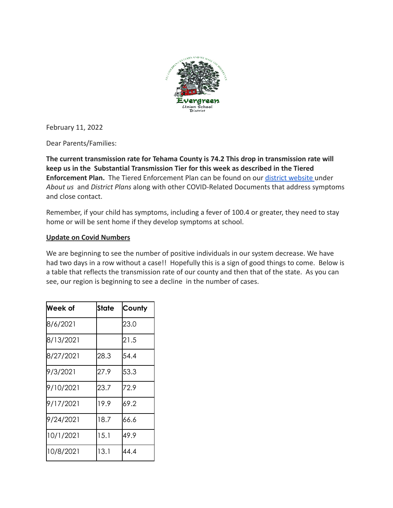

February 11, 2022

Dear Parents/Families:

**The current transmission rate for Tehama County is 74.2 This drop in transmission rate will keep us in the Substantial Transmission Tier for this week as described in the Tiered Enforcement Plan.** The Tiered Enforcement Plan can be found on our [district website](http://evergreenusd.org) under *About us* and *District Plans* along with other COVID-Related Documents that address symptoms and close contact.

Remember, if your child has symptoms, including a fever of 100.4 or greater, they need to stay home or will be sent home if they develop symptoms at school.

## **Update on Covid Numbers**

We are beginning to see the number of positive individuals in our system decrease. We have had two days in a row without a case!! Hopefully this is a sign of good things to come. Below is a table that reflects the transmission rate of our county and then that of the state. As you can see, our region is beginning to see a decline in the number of cases.

| Week of   | State | County |
|-----------|-------|--------|
| 8/6/2021  |       | 23.0   |
| 8/13/2021 |       | 21.5   |
| 8/27/2021 | 28.3  | 54.4   |
| 9/3/2021  | 27.9  | 53.3   |
| 9/10/2021 | 23.7  | 72.9   |
| 9/17/2021 | 19.9  | 69.2   |
| 9/24/2021 | 18.7  | 66.6   |
| 10/1/2021 | 15.1  | 49.9   |
| 10/8/2021 | 13.1  | 44.4   |